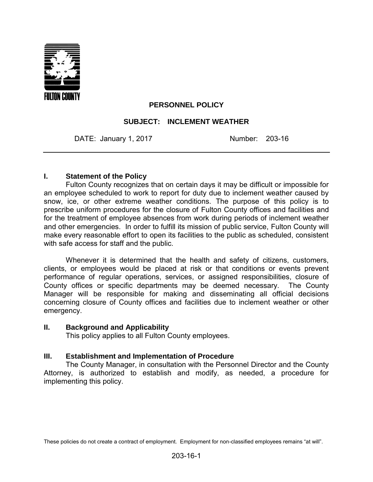

## **PERSONNEL POLICY**

### **SUBJECT: INCLEMENT WEATHER**

DATE: January 1, 2017 Number: 203-16

#### **I. Statement of the Policy**

Fulton County recognizes that on certain days it may be difficult or impossible for an employee scheduled to work to report for duty due to inclement weather caused by snow, ice, or other extreme weather conditions. The purpose of this policy is to prescribe uniform procedures for the closure of Fulton County offices and facilities and for the treatment of employee absences from work during periods of inclement weather and other emergencies. In order to fulfill its mission of public service, Fulton County will make every reasonable effort to open its facilities to the public as scheduled, consistent with safe access for staff and the public.

Whenever it is determined that the health and safety of citizens, customers, clients, or employees would be placed at risk or that conditions or events prevent performance of regular operations, services, or assigned responsibilities, closure of County offices or specific departments may be deemed necessary. The County Manager will be responsible for making and disseminating all official decisions concerning closure of County offices and facilities due to inclement weather or other emergency.

#### **II. Background and Applicability**

This policy applies to all Fulton County employees.

#### **III. Establishment and Implementation of Procedure**

The County Manager, in consultation with the Personnel Director and the County Attorney, is authorized to establish and modify, as needed, a procedure for implementing this policy.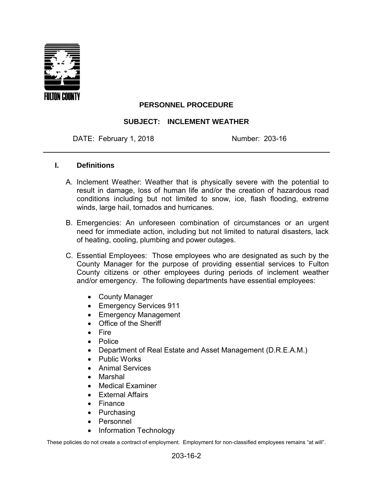

# **PERSONNEL PROCEDURE**

## **SUBJECT: INCLEMENT WEATHER**

DATE: February 1, 2018 Mumber: 203-16

#### **I. Definitions**

- A. Inclement Weather: Weather that is physically severe with the potential to result in damage, loss of human life and/or the creation of hazardous road conditions including but not limited to snow, ice, flash flooding, extreme winds, large hail, tornados and hurricanes.
- B. Emergencies: An unforeseen combination of circumstances or an urgent need for immediate action, including but not limited to natural disasters, lack of heating, cooling, plumbing and power outages.
- C. Essential Employees: Those employees who are designated as such by the County Manager for the purpose of providing essential services to Fulton County citizens or other employees during periods of inclement weather and/or emergency. The following departments have essential employees:
	- County Manager
	- Emergency Services 911
	- Emergency Management
	- Office of the Sheriff
	- Fire
	- Police
	- Department of Real Estate and Asset Management (D.R.E.A.M.)
	- Public Works
	- Animal Services
	- Marshal
	- Medical Examiner
	- External Affairs
	- Finance
	- Purchasing
	- Personnel
	- Information Technology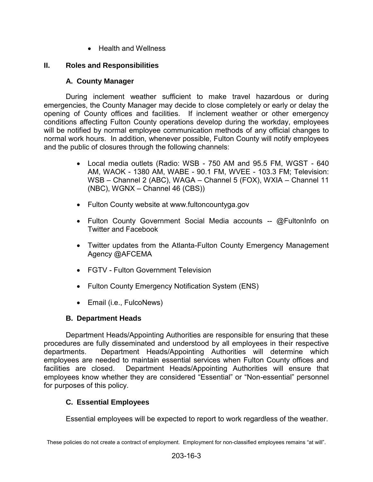• Health and Wellness

# **II. Roles and Responsibilities**

## **A. County Manager**

During inclement weather sufficient to make travel hazardous or during emergencies, the County Manager may decide to close completely or early or delay the opening of County offices and facilities. If inclement weather or other emergency conditions affecting Fulton County operations develop during the workday, employees will be notified by normal employee communication methods of any official changes to normal work hours. In addition, whenever possible, Fulton County will notify employees and the public of closures through the following channels:

- Local media outlets (Radio: WSB 750 AM and 95.5 FM, WGST 640 AM, WAOK - 1380 AM, WABE - 90.1 FM, WVEE - 103.3 FM; Television: WSB – Channel 2 (ABC), WAGA – Channel 5 (FOX), WXIA – Channel 11 (NBC), WGNX – Channel 46 (CBS))
- Fulton County website at www.fultoncountyga.gov
- Fulton County Government Social Media accounts -- @FultonInfo on Twitter and Facebook
- Twitter updates from the Atlanta-Fulton County Emergency Management Agency @AFCEMA
- FGTV Fulton Government Television
- Fulton County Emergency Notification System (ENS)
- Email (i.e., FulcoNews)

# **B. Department Heads**

Department Heads/Appointing Authorities are responsible for ensuring that these procedures are fully disseminated and understood by all employees in their respective departments. Department Heads/Appointing Authorities will determine which employees are needed to maintain essential services when Fulton County offices and facilities are closed. Department Heads/Appointing Authorities will ensure that employees know whether they are considered "Essential" or "Non-essential" personnel for purposes of this policy.

# **C. Essential Employees**

Essential employees will be expected to report to work regardless of the weather.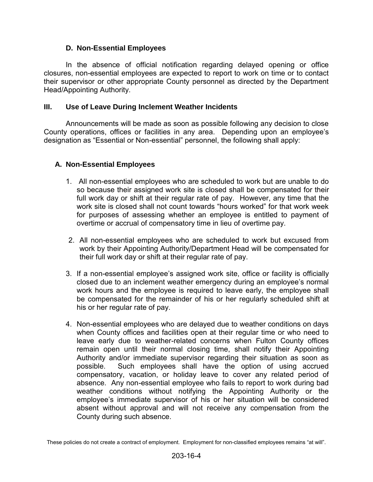## **D. Non-Essential Employees**

In the absence of official notification regarding delayed opening or office closures, non-essential employees are expected to report to work on time or to contact their supervisor or other appropriate County personnel as directed by the Department Head/Appointing Authority.

## **III. Use of Leave During Inclement Weather Incidents**

Announcements will be made as soon as possible following any decision to close County operations, offices or facilities in any area. Depending upon an employee's designation as "Essential or Non-essential" personnel, the following shall apply:

# **A. Non-Essential Employees**

- 1. All non-essential employees who are scheduled to work but are unable to do so because their assigned work site is closed shall be compensated for their full work day or shift at their regular rate of pay. However, any time that the work site is closed shall not count towards "hours worked" for that work week for purposes of assessing whether an employee is entitled to payment of overtime or accrual of compensatory time in lieu of overtime pay.
- 2. All non-essential employees who are scheduled to work but excused from work by their Appointing Authority/Department Head will be compensated for their full work day or shift at their regular rate of pay.
- 3. If a non-essential employee's assigned work site, office or facility is officially closed due to an inclement weather emergency during an employee's normal work hours and the employee is required to leave early, the employee shall be compensated for the remainder of his or her regularly scheduled shift at his or her regular rate of pay.
- 4. Non-essential employees who are delayed due to weather conditions on days when County offices and facilities open at their regular time or who need to leave early due to weather-related concerns when Fulton County offices remain open until their normal closing time, shall notify their Appointing Authority and/or immediate supervisor regarding their situation as soon as possible. Such employees shall have the option of using accrued compensatory, vacation, or holiday leave to cover any related period of absence. Any non-essential employee who fails to report to work during bad weather conditions without notifying the Appointing Authority or the employee's immediate supervisor of his or her situation will be considered absent without approval and will not receive any compensation from the County during such absence.

These policies do not create a contract of employment. Employment for non-classified employees remains "at will".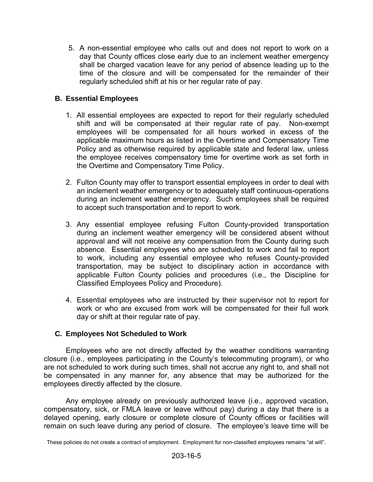5. A non-essential employee who calls out and does not report to work on a day that County offices close early due to an inclement weather emergency shall be charged vacation leave for any period of absence leading up to the time of the closure and will be compensated for the remainder of their regularly scheduled shift at his or her regular rate of pay.

## **B. Essential Employees**

- 1. All essential employees are expected to report for their regularly scheduled shift and will be compensated at their regular rate of pay. Non-exempt employees will be compensated for all hours worked in excess of the applicable maximum hours as listed in the Overtime and Compensatory Time Policy and as otherwise required by applicable state and federal law, unless the employee receives compensatory time for overtime work as set forth in the Overtime and Compensatory Time Policy.
- 2. Fulton County may offer to transport essential employees in order to deal with an inclement weather emergency or to adequately staff continuous-operations during an inclement weather emergency. Such employees shall be required to accept such transportation and to report to work.
- 3. Any essential employee refusing Fulton County-provided transportation during an inclement weather emergency will be considered absent without approval and will not receive any compensation from the County during such absence. Essential employees who are scheduled to work and fail to report to work, including any essential employee who refuses County-provided transportation, may be subject to disciplinary action in accordance with applicable Fulton County policies and procedures (i.e., the Discipline for Classified Employees Policy and Procedure).
- 4. Essential employees who are instructed by their supervisor not to report for work or who are excused from work will be compensated for their full work day or shift at their regular rate of pay.

### **C. Employees Not Scheduled to Work**

Employees who are not directly affected by the weather conditions warranting closure (i.e., employees participating in the County's telecommuting program), or who are not scheduled to work during such times, shall not accrue any right to, and shall not be compensated in any manner for, any absence that may be authorized for the employees directly affected by the closure.

Any employee already on previously authorized leave (i.e., approved vacation, compensatory, sick, or FMLA leave or leave without pay) during a day that there is a delayed opening, early closure or complete closure of County offices or facilities will remain on such leave during any period of closure. The employee's leave time will be